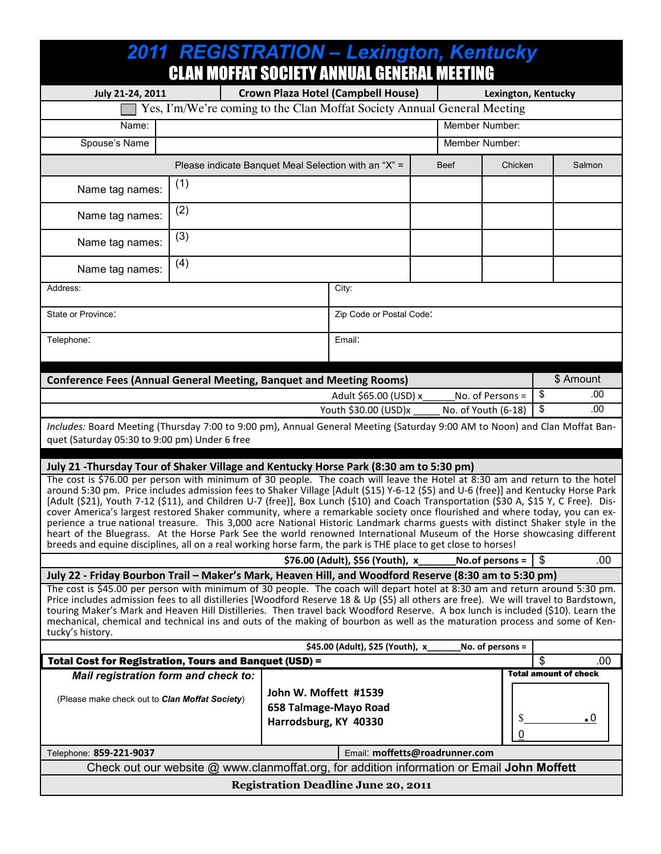| 2011 REGISTRATION - Lexington, Kentucky<br><b>CLAN MOFFAT SOCIETY ANNUAL GENERAL MEETING</b>                                                                                                                                                                                                                                                                                                                                                                                                                                                                                                                                                                                                                                                                                                                                                                                                                          |     |  |                          |                                                                                            |                                                           |                 |                                           |  |
|-----------------------------------------------------------------------------------------------------------------------------------------------------------------------------------------------------------------------------------------------------------------------------------------------------------------------------------------------------------------------------------------------------------------------------------------------------------------------------------------------------------------------------------------------------------------------------------------------------------------------------------------------------------------------------------------------------------------------------------------------------------------------------------------------------------------------------------------------------------------------------------------------------------------------|-----|--|--------------------------|--------------------------------------------------------------------------------------------|-----------------------------------------------------------|-----------------|-------------------------------------------|--|
| July 21-24, 2011                                                                                                                                                                                                                                                                                                                                                                                                                                                                                                                                                                                                                                                                                                                                                                                                                                                                                                      |     |  |                          | Lexington, Kentucky                                                                        |                                                           |                 |                                           |  |
| <b>Crown Plaza Hotel (Campbell House)</b><br>Yes, I'm/We're coming to the Clan Moffat Society Annual General Meeting                                                                                                                                                                                                                                                                                                                                                                                                                                                                                                                                                                                                                                                                                                                                                                                                  |     |  |                          |                                                                                            |                                                           |                 |                                           |  |
| Name:                                                                                                                                                                                                                                                                                                                                                                                                                                                                                                                                                                                                                                                                                                                                                                                                                                                                                                                 |     |  |                          | Member Number:                                                                             |                                                           |                 |                                           |  |
| Spouse's Name                                                                                                                                                                                                                                                                                                                                                                                                                                                                                                                                                                                                                                                                                                                                                                                                                                                                                                         |     |  |                          | Member Number:                                                                             |                                                           |                 |                                           |  |
| Please indicate Banquet Meal Selection with an "X" =                                                                                                                                                                                                                                                                                                                                                                                                                                                                                                                                                                                                                                                                                                                                                                                                                                                                  |     |  |                          |                                                                                            | <b>Beef</b>                                               | Chicken         | Salmon                                    |  |
| Name tag names:                                                                                                                                                                                                                                                                                                                                                                                                                                                                                                                                                                                                                                                                                                                                                                                                                                                                                                       | (1) |  |                          |                                                                                            |                                                           |                 |                                           |  |
| Name tag names:                                                                                                                                                                                                                                                                                                                                                                                                                                                                                                                                                                                                                                                                                                                                                                                                                                                                                                       | (2) |  |                          |                                                                                            |                                                           |                 |                                           |  |
| Name tag names:                                                                                                                                                                                                                                                                                                                                                                                                                                                                                                                                                                                                                                                                                                                                                                                                                                                                                                       | (3) |  |                          |                                                                                            |                                                           |                 |                                           |  |
| Name tag names:                                                                                                                                                                                                                                                                                                                                                                                                                                                                                                                                                                                                                                                                                                                                                                                                                                                                                                       | (4) |  |                          |                                                                                            |                                                           |                 |                                           |  |
| Address:                                                                                                                                                                                                                                                                                                                                                                                                                                                                                                                                                                                                                                                                                                                                                                                                                                                                                                              |     |  |                          | City:                                                                                      |                                                           |                 |                                           |  |
| State or Province:                                                                                                                                                                                                                                                                                                                                                                                                                                                                                                                                                                                                                                                                                                                                                                                                                                                                                                    |     |  | Zip Code or Postal Code: |                                                                                            |                                                           |                 |                                           |  |
| Telephone:                                                                                                                                                                                                                                                                                                                                                                                                                                                                                                                                                                                                                                                                                                                                                                                                                                                                                                            |     |  | Email:                   |                                                                                            |                                                           |                 |                                           |  |
| \$ Amount<br><b>Conference Fees (Annual General Meeting, Banquet and Meeting Rooms)</b>                                                                                                                                                                                                                                                                                                                                                                                                                                                                                                                                                                                                                                                                                                                                                                                                                               |     |  |                          |                                                                                            |                                                           |                 |                                           |  |
| No. of Persons =<br>Adult \$65.00 (USD) x                                                                                                                                                                                                                                                                                                                                                                                                                                                                                                                                                                                                                                                                                                                                                                                                                                                                             |     |  |                          |                                                                                            |                                                           |                 | \$<br>.00                                 |  |
|                                                                                                                                                                                                                                                                                                                                                                                                                                                                                                                                                                                                                                                                                                                                                                                                                                                                                                                       |     |  |                          |                                                                                            | .00.<br>\$<br>Youth \$30.00 (USD)x<br>No. of Youth (6-18) |                 |                                           |  |
| Includes: Board Meeting (Thursday 7:00 to 9:00 pm), Annual General Meeting (Saturday 9:00 AM to Noon) and Clan Moffat Ban-<br>quet (Saturday 05:30 to 9:00 pm) Under 6 free                                                                                                                                                                                                                                                                                                                                                                                                                                                                                                                                                                                                                                                                                                                                           |     |  |                          |                                                                                            |                                                           |                 |                                           |  |
| July 21 -Thursday Tour of Shaker Village and Kentucky Horse Park (8:30 am to 5:30 pm)                                                                                                                                                                                                                                                                                                                                                                                                                                                                                                                                                                                                                                                                                                                                                                                                                                 |     |  |                          |                                                                                            |                                                           |                 |                                           |  |
| The cost is \$76.00 per person with minimum of 30 people. The coach will leave the Hotel at 8:30 am and return to the hotel<br>around 5:30 pm. Price includes admission fees to Shaker Village [Adult (\$15) Y-6-12 (\$5) and U-6 (free)] and Kentucky Horse Park<br>[Adult (\$21), Youth 7-12 (\$11), and Children U-7 (free)], Box Lunch (\$10) and Coach Transportation (\$30 A, \$15 Y, C Free). Dis-<br>cover America's largest restored Shaker community, where a remarkable society once flourished and where today, you can ex-<br>perience a true national treasure. This 3,000 acre National Historic Landmark charms guests with distinct Shaker style in the<br>heart of the Bluegrass. At the Horse Park See the world renowned International Museum of the Horse showcasing different<br>breeds and equine disciplines, all on a real working horse farm, the park is THE place to get close to horses! |     |  |                          |                                                                                            |                                                           |                 |                                           |  |
| \$76.00 (Adult), \$56 (Youth), x                                                                                                                                                                                                                                                                                                                                                                                                                                                                                                                                                                                                                                                                                                                                                                                                                                                                                      |     |  |                          |                                                                                            |                                                           | No.of persons = | $\boldsymbol{\mathsf{S}}$<br>.00          |  |
| July 22 - Friday Bourbon Trail - Maker's Mark, Heaven Hill, and Woodford Reserve (8:30 am to 5:30 pm)                                                                                                                                                                                                                                                                                                                                                                                                                                                                                                                                                                                                                                                                                                                                                                                                                 |     |  |                          |                                                                                            |                                                           |                 |                                           |  |
| The cost is \$45.00 per person with minimum of 30 people. The coach will depart hotel at 8:30 am and return around 5:30 pm.<br>Price includes admission fees to all distilleries [Woodford Reserve 18 & Up (\$5) all others are free). We will travel to Bardstown,<br>touring Maker's Mark and Heaven Hill Distilleries. Then travel back Woodford Reserve. A box lunch is included (\$10). Learn the<br>mechanical, chemical and technical ins and outs of the making of bourbon as well as the maturation process and some of Ken-<br>tucky's history.                                                                                                                                                                                                                                                                                                                                                             |     |  |                          |                                                                                            |                                                           |                 |                                           |  |
| \$45.00 (Adult), \$25 (Youth), x<br>No. of persons =                                                                                                                                                                                                                                                                                                                                                                                                                                                                                                                                                                                                                                                                                                                                                                                                                                                                  |     |  |                          |                                                                                            |                                                           |                 |                                           |  |
| <b>Total Cost for Registration, Tours and Banquet (USD) =</b><br>Mail registration form and check to:                                                                                                                                                                                                                                                                                                                                                                                                                                                                                                                                                                                                                                                                                                                                                                                                                 |     |  |                          |                                                                                            |                                                           |                 | \$<br>.00<br><b>Total amount of check</b> |  |
| John W. Moffett #1539<br>(Please make check out to Clan Moffat Society)<br>658 Talmage-Mayo Road<br>Harrodsburg, KY 40330                                                                                                                                                                                                                                                                                                                                                                                                                                                                                                                                                                                                                                                                                                                                                                                             |     |  |                          |                                                                                            |                                                           | S<br>0          | $\cdot^0$                                 |  |
| Telephone: 859-221-9037                                                                                                                                                                                                                                                                                                                                                                                                                                                                                                                                                                                                                                                                                                                                                                                                                                                                                               |     |  |                          | Email: moffetts@roadrunner.com                                                             |                                                           |                 |                                           |  |
|                                                                                                                                                                                                                                                                                                                                                                                                                                                                                                                                                                                                                                                                                                                                                                                                                                                                                                                       |     |  |                          | Check out our website @ www.clanmoffat.org, for addition information or Email John Moffett |                                                           |                 |                                           |  |
| <b>Registration Deadline June 20, 2011</b>                                                                                                                                                                                                                                                                                                                                                                                                                                                                                                                                                                                                                                                                                                                                                                                                                                                                            |     |  |                          |                                                                                            |                                                           |                 |                                           |  |